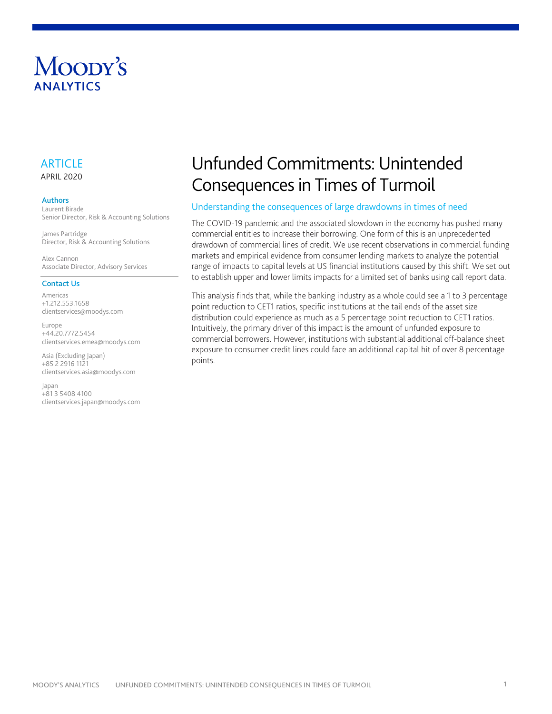# Moody's **ANAIYTICS**

# **ARTICLE** APRIL 2020

#### Authors

Laurent Birade Senior Director, Risk & Accounting Solutions

James Partridge Director, Risk & Accounting Solutions

Alex Cannon Associate Director, Advisory Services

#### Contact Us

Americas +1.212.553.1658 clientservices@moodys.com

Europe +44.20.7772.5454 clientservices.emea@moodys.com

Asia (Excluding Japan) +85 2 2916 1121 clientservices.asia@moodys.com

Japan +81 3 5408 4100 clientservices.japan@moodys.com

# Unfunded Commitments: Unintended Consequences in Times of Turmoil

### <span id="page-0-0"></span>Understanding the consequences of large drawdowns in times of need

The COVID-19 pandemic and the associated slowdown in the economy has pushed many commercial entities to increase their borrowing. One form of this is an unprecedented drawdown of commercial lines of credit. We use recent observations in commercial funding markets and empirical evidence from consumer lending markets to analyze the potential range of impacts to capital levels at US financial institutions caused by this shift. We set out to establish upper and lower limits impacts for a limited set of banks using call report data.

This analysis finds that, while the banking industry as a whole could see a 1 to 3 percentage point reduction to CET1 ratios, specific institutions at the tail ends of the asset size distribution could experience as much as a 5 percentage point reduction to CET1 ratios. Intuitively, the primary driver of this impact is the amount of unfunded exposure to commercial borrowers. However, institutions with substantial additional off-balance sheet exposure to consumer credit lines could face an additional capital hit of over 8 percentage points.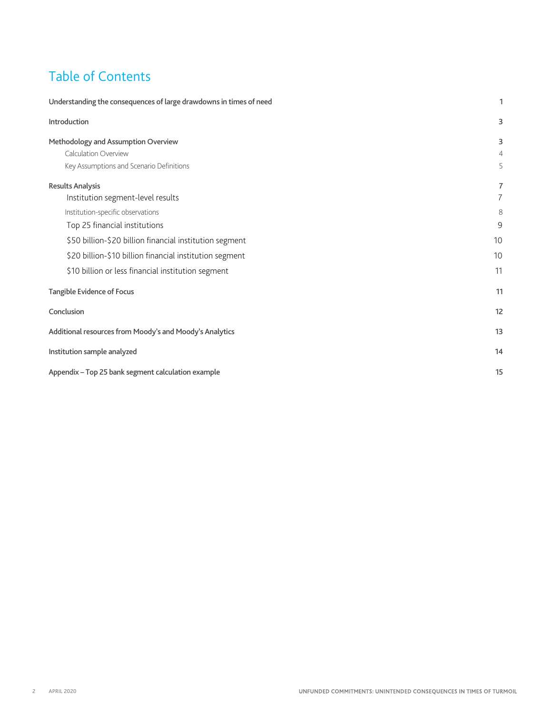# Table of Contents

| Understanding the consequences of large drawdowns in times of need |                |  |  |  |  |
|--------------------------------------------------------------------|----------------|--|--|--|--|
| Introduction                                                       | 3              |  |  |  |  |
| Methodology and Assumption Overview                                | 3              |  |  |  |  |
| <b>Calculation Overview</b>                                        | $\overline{4}$ |  |  |  |  |
| Key Assumptions and Scenario Definitions                           | 5              |  |  |  |  |
| <b>Results Analysis</b>                                            | $\overline{7}$ |  |  |  |  |
| Institution segment-level results                                  | 7              |  |  |  |  |
| Institution-specific observations                                  | 8              |  |  |  |  |
| Top 25 financial institutions                                      | 9              |  |  |  |  |
| \$50 billion-\$20 billion financial institution segment            | 10             |  |  |  |  |
| \$20 billion-\$10 billion financial institution segment            | 10             |  |  |  |  |
| \$10 billion or less financial institution segment                 | 11             |  |  |  |  |
| Tangible Evidence of Focus                                         | 11             |  |  |  |  |
| Conclusion                                                         | 12             |  |  |  |  |
| Additional resources from Moody's and Moody's Analytics            | 13             |  |  |  |  |
| Institution sample analyzed                                        | 14             |  |  |  |  |
| Appendix - Top 25 bank segment calculation example                 | 15             |  |  |  |  |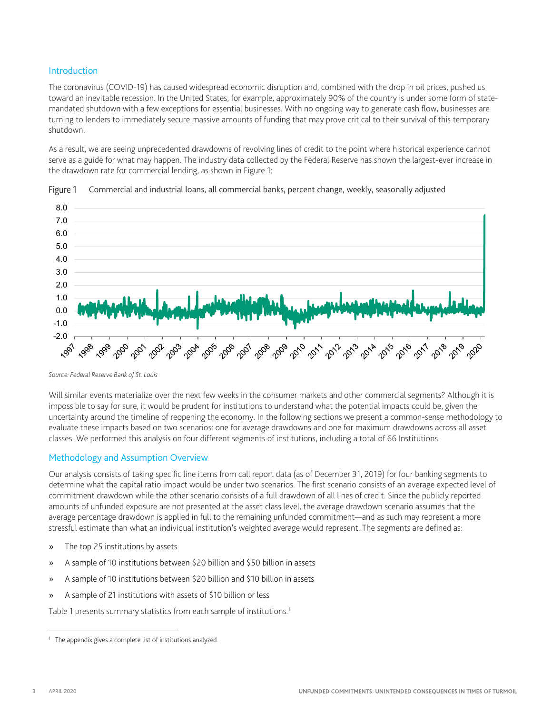## <span id="page-2-0"></span>Introduction

The coronavirus (COVID-19) has caused widespread economic disruption and, combined with the drop in oil prices, pushed us toward an inevitable recession. In the United States, for example, approximately 90% of the country is under some form of statemandated shutdown with a few exceptions for essential businesses. With no ongoing way to generate cash flow, businesses are turning to lenders to immediately secure massive amounts of funding that may prove critical to their survival of this temporary shutdown.

As a result, we are seeing unprecedented drawdowns of revolving lines of credit to the point where historical experience cannot serve as a guide for what may happen. The industry data collected by the Federal Reserve has shown the largest-ever increase in the drawdown rate for commercial lending, as shown in [Figure 1:](#page-2-2)



<span id="page-2-2"></span>

Will similar events materialize over the next few weeks in the consumer markets and other commercial segments? Although it is impossible to say for sure, it would be prudent for institutions to understand what the potential impacts could be, given the uncertainty around the timeline of reopening the economy. In the following sections we present a common-sense methodology to evaluate these impacts based on two scenarios: one for average drawdowns and one for maximum drawdowns across all asset classes. We performed this analysis on four different segments of institutions, including a total of 66 Institutions.

### <span id="page-2-1"></span>Methodology and Assumption Overview

Our analysis consists of taking specific line items from call report data (as of December 31, 2019) for four banking segments to determine what the capital ratio impact would be under two scenarios. The first scenario consists of an average expected level of commitment drawdown while the other scenario consists of a full drawdown of all lines of credit. Since the publicly reported amounts of unfunded exposure are not presented at the asset class level, the average drawdown scenario assumes that the average percentage drawdown is applied in full to the remaining unfunded commitment—and as such may represent a more stressful estimate than what an individual institution's weighted average would represent. The segments are defined as:

- » The top 25 institutions by assets
- » A sample of 10 institutions between \$20 billion and \$50 billion in assets
- » A sample of 10 institutions between \$20 billion and \$10 billion in assets
- » A sample of 21 institutions with assets of \$10 billion or less

Table [1](#page-2-3) presents summary statistics from each sample of institutions.<sup>1</sup>

*Source: Federal Reserve Bank of St. Louis*

<span id="page-2-3"></span>The appendix gives a complete list of institutions analyzed.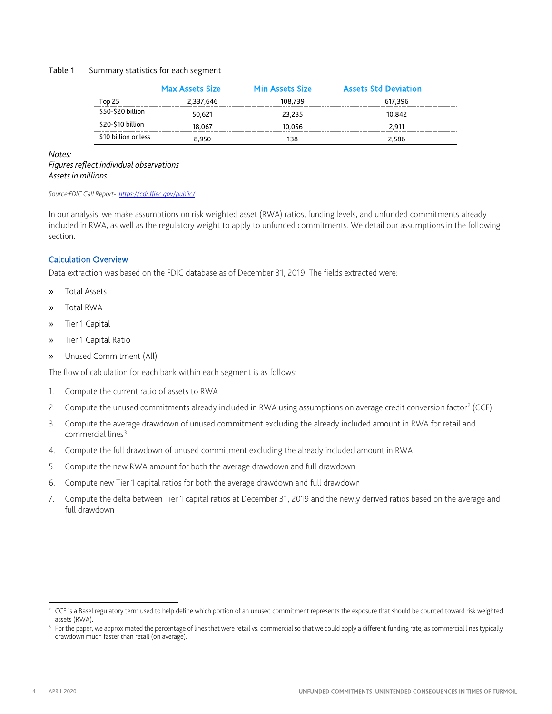### Table 1 Summary statistics for each segment

|                      | <b>Max Assets Size</b> | <b>Min Assets Size</b> | <b>Assets Std Deviation</b> |
|----------------------|------------------------|------------------------|-----------------------------|
| Top 25               | 2.337.646              | 108.739                | 617.396                     |
| \$50-\$20 billion    | 50.621                 | 23.235                 | 10.842                      |
| \$20-\$10 billion    | 18.067                 | 10.056                 | 2.911                       |
| \$10 billion or less | 8.950                  | 138                    | 2.586                       |

*Notes:*

#### *Figures reflect individual observations Assets in millions*

#### *Source:FDIC Call Report-<https://cdr.ffiec.gov/public/>*

In our analysis, we make assumptions on risk weighted asset (RWA) ratios, funding levels, and unfunded commitments already included in RWA, as well as the regulatory weight to apply to unfunded commitments. We detail our assumptions in the following section.

## <span id="page-3-0"></span>Calculation Overview

Data extraction was based on the FDIC database as of December 31, 2019. The fields extracted were:

- » Total Assets
- » Total RWA
- » Tier 1 Capital
- » Tier 1 Capital Ratio
- » Unused Commitment (All)

The flow of calculation for each bank within each segment is as follows:

- 1. Compute the current ratio of assets to RWA
- [2](#page-3-1). Compute the unused commitments already included in RWA using assumptions on average credit conversion factor<sup>2</sup> (CCF)
- 3. Compute the average drawdown of unused commitment excluding the already included amount in RWA for retail and commercial lines<sup>[3](#page-3-2)</sup>
- 4. Compute the full drawdown of unused commitment excluding the already included amount in RWA
- 5. Compute the new RWA amount for both the average drawdown and full drawdown
- 6. Compute new Tier 1 capital ratios for both the average drawdown and full drawdown
- 7. Compute the delta between Tier 1 capital ratios at December 31, 2019 and the newly derived ratios based on the average and full drawdown

<span id="page-3-1"></span><sup>&</sup>lt;sup>2</sup> CCF is a Basel regulatory term used to help define which portion of an unused commitment represents the exposure that should be counted toward risk weighted assets (RWA).

<span id="page-3-2"></span>For the paper, we approximated the percentage of lines that were retail vs. commercial so that we could apply a different funding rate, as commercial lines typically drawdown much faster than retail (on average).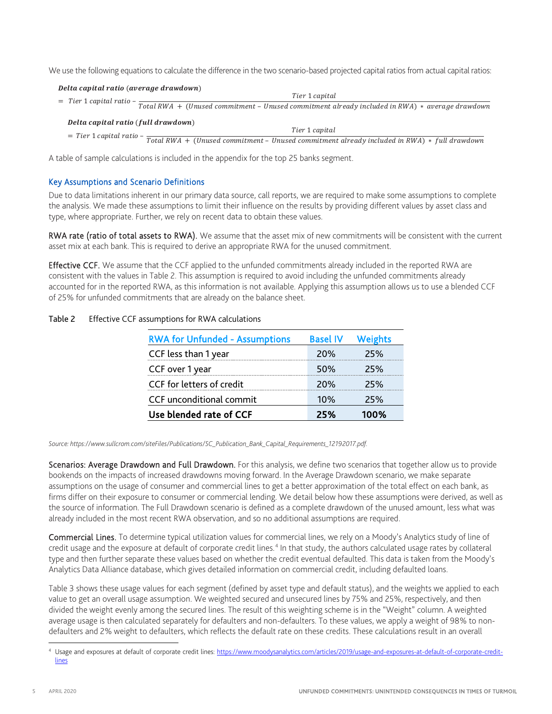We use the following equations to calculate the difference in the two scenario-based projected capital ratios from actual capital ratios:

| Delta capital ratio (average drawdown) |                                                                                                                                               |
|----------------------------------------|-----------------------------------------------------------------------------------------------------------------------------------------------|
|                                        | Tier 1 capital                                                                                                                                |
|                                        | $=$ Tier 1 capital ratio - $\frac{1}{Total\ RWA + (Unused\ commitment - Unused\ commitment\ already\ included\ in\ RWA) * average\ drawdown}$ |
| Delta capital ratio (full drawdown)    |                                                                                                                                               |
|                                        | Tier 1 capital                                                                                                                                |
|                                        | $=$ Tier 1 capital ratio - $\frac{1}{Total\ RWA + (Unused\ commitment - Unused\ commitment\ already\ included\ in\ RWA) * full\ drawn.}$      |

A table of sample calculations is included in the appendix for the top 25 banks segment.

# <span id="page-4-0"></span>Key Assumptions and Scenario Definitions

Due to data limitations inherent in our primary data source, call reports, we are required to make some assumptions to complete the analysis. We made these assumptions to limit their influence on the results by providing different values by asset class and type, where appropriate. Further, we rely on recent data to obtain these values.

RWA rate (ratio of total assets to RWA). We assume that the asset mix of new commitments will be consistent with the current asset mix at each bank. This is required to derive an appropriate RWA for the unused commitment.

Effective CCF. We assume that the CCF applied to the unfunded commitments already included in the reported RWA are consistent with the values in [Table 2.](#page-4-1) This assumption is required to avoid including the unfunded commitments already accounted for in the reported RWA, as this information is not available. Applying this assumption allows us to use a blended CCF of 25% for unfunded commitments that are already on the balance sheet.

## <span id="page-4-1"></span>Table 2 Effective CCF assumptions for RWA calculations

| <b>RWA for Unfunded - Assumptions</b> | <b>Basel IV</b> | <b>Weights</b> |
|---------------------------------------|-----------------|----------------|
| CCF less than 1 year                  | <b>20%</b>      | 25%            |
| CCF over 1 year                       | 50%             | 25%            |
| CCF for letters of credit             | 20%             | 25%            |
| <b>CCF</b> unconditional commit       | 10%             | 25%            |
| Use blended rate of CCF               | 25%             | 100%           |

*Source: https://www.sullcrom.com/siteFiles/Publications/SC\_Publication\_Bank\_Capital\_Requirements\_12192017.pdf.*

Scenarios: Average Drawdown and Full Drawdown. For this analysis, we define two scenarios that together allow us to provide bookends on the impacts of increased drawdowns moving forward. In the Average Drawdown scenario, we make separate assumptions on the usage of consumer and commercial lines to get a better approximation of the total effect on each bank, as firms differ on their exposure to consumer or commercial lending. We detail below how these assumptions were derived, as well as the source of information. The Full Drawdown scenario is defined as a complete drawdown of the unused amount, less what was already included in the most recent RWA observation, and so no additional assumptions are required.

Commercial Lines. To determine typical utilization values for commercial lines, we rely on a Moody's Analytics study of line of credit usage and the exposure at default of corporate credit lines. [4](#page-4-2) In that study, the authors calculated usage rates by collateral type and then further separate these values based on whether the credit eventual defaulted. This data is taken from the Moody's Analytics Data Alliance database, which gives detailed information on commercial credit, including defaulted loans.

[Table 3](#page-5-0) shows these usage values for each segment (defined by asset type and default status), and the weights we applied to each value to get an overall usage assumption. We weighted secured and unsecured lines by 75% and 25%, respectively, and then divided the weight evenly among the secured lines. The result of this weighting scheme is in the "Weight" column. A weighted average usage is then calculated separately for defaulters and non-defaulters. To these values, we apply a weight of 98% to nondefaulters and 2% weight to defaulters, which reflects the default rate on these credits. These calculations result in an overall

<span id="page-4-2"></span> <sup>4</sup> Usage and exposures at default of corporate credit lines[: https://www.moodysanalytics.com/articles/2019/usage-and-exposures-at-default-of-corporate-credit](https://www.moodysanalytics.com/articles/2019/usage-and-exposures-at-default-of-corporate-credit-lines)[lines](https://www.moodysanalytics.com/articles/2019/usage-and-exposures-at-default-of-corporate-credit-lines)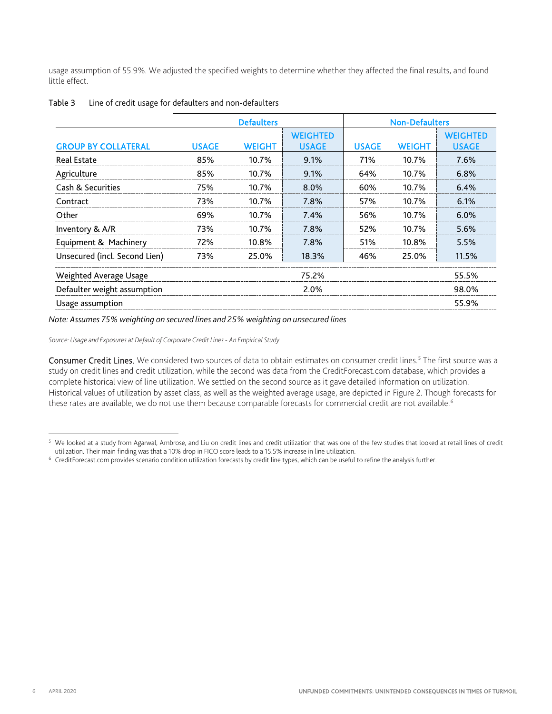usage assumption of 55.9%. We adjusted the specified weights to determine whether they affected the final results, and found little effect.

|                               |              | <b>Defaulters</b> |                                 | <b>Non-Defaulters</b> |               |                                 |  |  |
|-------------------------------|--------------|-------------------|---------------------------------|-----------------------|---------------|---------------------------------|--|--|
| <b>GROUP BY COLLATERAL</b>    | <b>USAGE</b> | <b>WEIGHT</b>     | <b>WEIGHTED</b><br><b>USAGE</b> | <b>USAGE</b>          | <b>WEIGHT</b> | <b>WEIGHTED</b><br><b>USAGE</b> |  |  |
| <b>Real Estate</b>            | 85%          | 10.7%             | 9.1%                            | 71%                   | 10.7%         | 7.6%                            |  |  |
| Agriculture                   | 85%          | 10.7%             | 9.1%                            | 64%                   | 10.7%         | 6.8%                            |  |  |
| Cash & Securities             | 75%          | 10.7%             | 8.0%                            | 60%                   | 10.7%         | 6.4%                            |  |  |
| Contract                      | 73%          | 10.7%             | 7.8%                            | 57%                   | 10.7%         | 6.1%                            |  |  |
| Other                         | 69%          | 10.7%             | 7.4%                            | 56%                   | 10.7%         | 6.0%                            |  |  |
| Inventory & A/R               | 73%          | 10.7%             | 7.8%                            | 52%                   | 10.7%         | 5.6%                            |  |  |
| Equipment & Machinery         | 72%          | 10.8%             | 7.8%                            | 51%                   | 10.8%         | 5.5%                            |  |  |
| Unsecured (incl. Second Lien) | 73%          | 25.0%             | 18.3%                           | 46%                   | 25.0%         | 11.5%                           |  |  |
| Weighted Average Usage        |              |                   | 75.2%                           |                       |               | 55.5%                           |  |  |
| Defaulter weight assumption   |              |                   | 2.0%                            |                       |               | 98.0%                           |  |  |
| Usage assumption              |              |                   |                                 |                       |               | 55.9%                           |  |  |

#### <span id="page-5-0"></span>Table 3 Line of credit usage for defaulters and non-defaulters

*Note: Assumes 75% weighting on secured lines and 25% weighting on unsecured lines*

*Source: Usage and Exposures at Default of Corporate Credit Lines - An Empirical Study*

Consumer Credit Lines. We considered two sources of data to obtain estimates on consumer credit lines.<sup>[5](#page-5-2)</sup> The first source was a study on credit lines and credit utilization, while the second was data from the CreditForecast.com database, which provides a complete historical view of line utilization. We settled on the second source as it gave detailed information on utilization. Historical values of utilization by asset class, as well as the weighted average usage, are depicted in [Figure 2.](#page-5-1) Though forecasts for these rates are available, we do not use them because comparable forecasts for commercial credit are not available.<sup>[6](#page-5-3)</sup>

<span id="page-5-2"></span><span id="page-5-1"></span><sup>&</sup>lt;sup>5</sup> We looked at a study from Agarwal, Ambrose, and Liu on credit lines and credit utilization that was one of the few studies that looked at retail lines of credit utilization.<br>utilization. Their main finding was that a 1

<span id="page-5-3"></span><sup>&</sup>lt;sup>6</sup> CreditForecast.com provides scenario condition utilization forecasts by credit line types, which can be useful to refine the analysis further.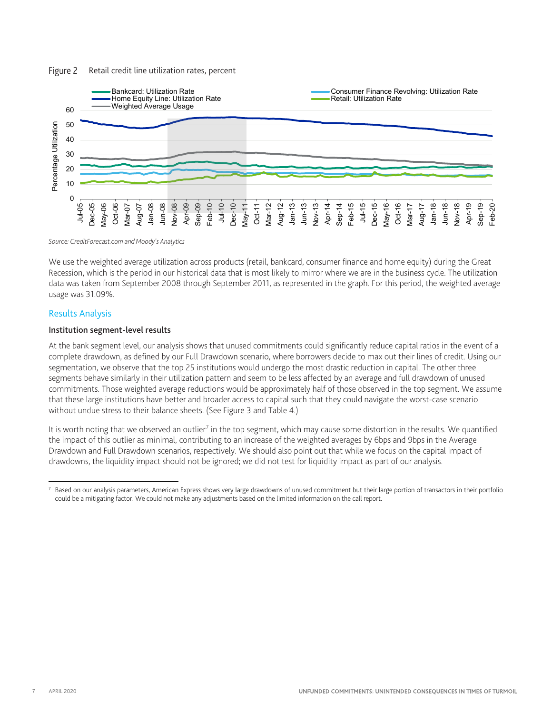#### Figure 2 Retail credit line utilization rates, percent



#### *Source: CreditForecast.com and Moody's Analytics*

We use the weighted average utilization across products (retail, bankcard, consumer finance and home equity) during the Great Recession, which is the period in our historical data that is most likely to mirror where we are in the business cycle. The utilization data was taken from September 2008 through September 2011, as represented in the graph. For this period, the weighted average usage was 31.09%.

#### <span id="page-6-0"></span>Results Analysis

#### <span id="page-6-1"></span>Institution segment-level results

At the bank segment level, our analysis shows that unused commitments could significantly reduce capital ratios in the event of a complete drawdown, as defined by our Full Drawdown scenario, where borrowers decide to max out their lines of credit. Using our segmentation, we observe that the top 25 institutions would undergo the most drastic reduction in capital. The other three segments behave similarly in their utilization pattern and seem to be less affected by an average and full drawdown of unused commitments. Those weighted average reductions would be approximately half of those observed in the top segment. We assume that these large institutions have better and broader access to capital such that they could navigate the worst-case scenario without undue stress to their balance sheets. (See Figure 3 and Table 4.)

It is worth noting that we observed an outlier<sup>[7](#page-6-2)</sup> in the top segment, which may cause some distortion in the results. We quantified the impact of this outlier as minimal, contributing to an increase of the weighted averages by 6bps and 9bps in the Average Drawdown and Full Drawdown scenarios, respectively. We should also point out that while we focus on the capital impact of drawdowns, the liquidity impact should not be ignored; we did not test for liquidity impact as part of our analysis.

<span id="page-6-2"></span> $^7$  Based on our analysis parameters, American Express shows very large drawdowns of unused commitment but their large portion of transactors in their portfolio could be a mitigating factor. We could not make any adjustments based on the limited information on the call report.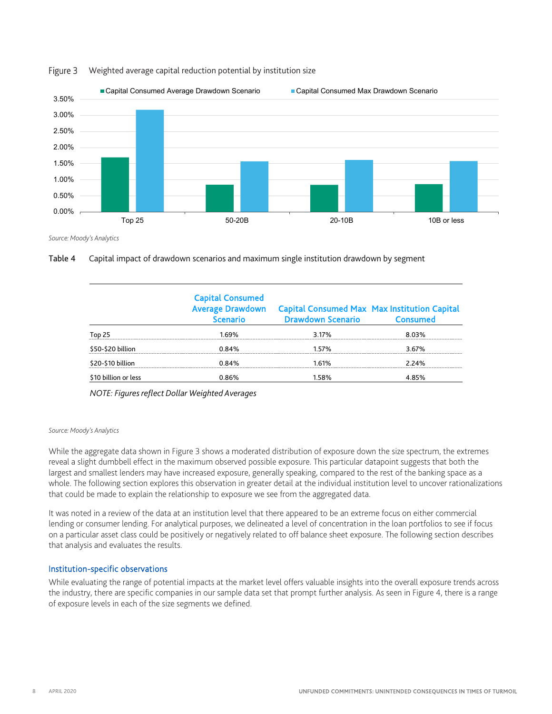

#### Weighted average capital reduction potential by institution size Figure 3

*Source: Moody's Analytics*



|                      | <b>Capital Consumed</b><br><b>Average Drawdown</b><br><b>Scenario</b> | <b>Capital Consumed Max Max Institution Capital</b><br><b>Drawdown Scenario</b> | Consumed |
|----------------------|-----------------------------------------------------------------------|---------------------------------------------------------------------------------|----------|
| Top 25               | 1.69%                                                                 | 3.17%                                                                           | 8.03%    |
| \$50-\$20 billion    | 0.84%                                                                 | 157%                                                                            | 3.67%    |
| \$20-\$10 billion    | 0.84%                                                                 | 1 61%                                                                           | 224%     |
| \$10 billion or less | 0.86%                                                                 | 1.58%                                                                           | 4.85%    |

*NOTE: Figures reflect Dollar Weighted Averages*

#### *Source: Moody's Analytics*

While the aggregate data shown in Figure 3 shows a moderated distribution of exposure down the size spectrum, the extremes reveal a slight dumbbell effect in the maximum observed possible exposure. This particular datapoint suggests that both the largest and smallest lenders may have increased exposure, generally speaking, compared to the rest of the banking space as a whole. The following section explores this observation in greater detail at the individual institution level to uncover rationalizations that could be made to explain the relationship to exposure we see from the aggregated data.

It was noted in a review of the data at an institution level that there appeared to be an extreme focus on either commercial lending or consumer lending. For analytical purposes, we delineated a level of concentration in the loan portfolios to see if focus on a particular asset class could be positively or negatively related to off balance sheet exposure. The following section describes that analysis and evaluates the results.

#### <span id="page-7-0"></span>Institution-specific observations

While evaluating the range of potential impacts at the market level offers valuable insights into the overall exposure trends across the industry, there are specific companies in our sample data set that prompt further analysis. As seen in Figure 4, there is a range of exposure levels in each of the size segments we defined.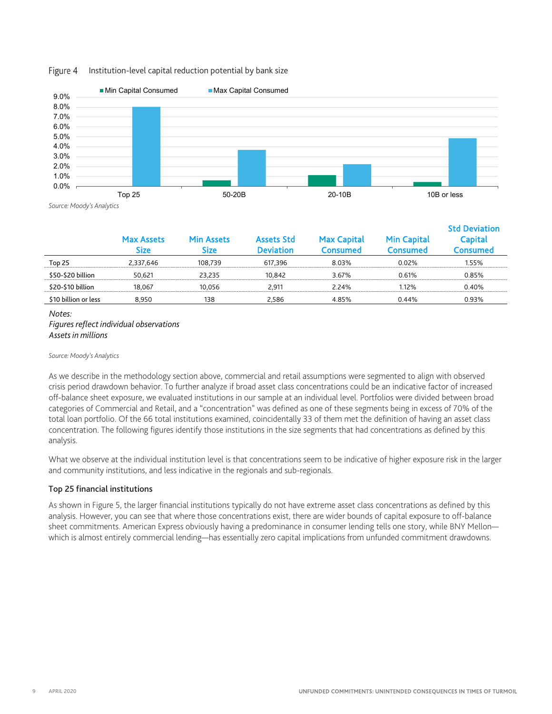#### Institution-level capital reduction potential by bank size Figure 4



*Source: Moody's Analytics*

|                      | <b>Max Assets</b><br>Size | Min Assets<br><b>Size</b> | <b>Assets Std</b><br>Deviation | <b>Max Capital</b><br>Consumed | <b>Min Capital</b><br><b>Consumed</b> | <b>Std Deviation</b><br>Capital<br>onsumed |
|----------------------|---------------------------|---------------------------|--------------------------------|--------------------------------|---------------------------------------|--------------------------------------------|
| Top 25               | 2.337.646                 | 108.739                   | 617.396                        | 8.03%                          | 0.02%                                 | 155%                                       |
| \$50-\$20 billion    | 50.621                    | 23.235                    | 10.842                         | 3.67%                          | 0.61%                                 | 0.85%                                      |
| \$20-\$10 billion    | 18.067                    | 10.056                    | 2.911                          | 2 2 4 %                        | 12%                                   | 0 40%                                      |
| \$10 billion or less | 8.950                     | 138                       | 2.586                          | 4.85%                          | 0.44%                                 | 0.93%                                      |

### *Notes: Figures reflect individual observations Assets in millions*

#### *Source: Moody's Analytics*

As we describe in the methodology section above, commercial and retail assumptions were segmented to align with observed crisis period drawdown behavior. To further analyze if broad asset class concentrations could be an indicative factor of increased off-balance sheet exposure, we evaluated institutions in our sample at an individual level. Portfolios were divided between broad categories of Commercial and Retail, and a "concentration" was defined as one of these segments being in excess of 70% of the total loan portfolio. Of the 66 total institutions examined, coincidentally 33 of them met the definition of having an asset class concentration. The following figures identify those institutions in the size segments that had concentrations as defined by this analysis.

What we observe at the individual institution level is that concentrations seem to be indicative of higher exposure risk in the larger and community institutions, and less indicative in the regionals and sub-regionals.

#### <span id="page-8-0"></span>Top 25 financial institutions

As shown in Figure 5, the larger financial institutions typically do not have extreme asset class concentrations as defined by this analysis. However, you can see that where those concentrations exist, there are wider bounds of capital exposure to off-balance sheet commitments. American Express obviously having a predominance in consumer lending tells one story, while BNY Mellon which is almost entirely commercial lending—has essentially zero capital implications from unfunded commitment drawdowns.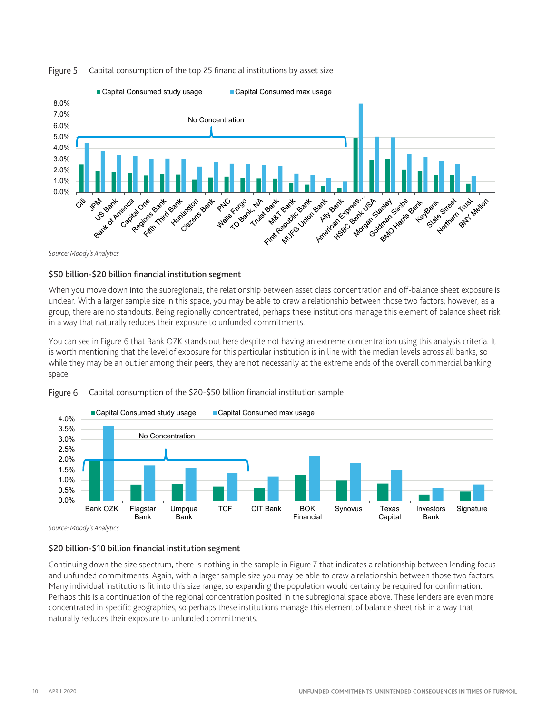

#### Capital consumption of the top 25 financial institutions by asset size Figure 5

*Source: Moody's Analytics*

#### <span id="page-9-0"></span>\$50 billion-\$20 billion financial institution segment

When you move down into the subregionals, the relationship between asset class concentration and off-balance sheet exposure is unclear. With a larger sample size in this space, you may be able to draw a relationship between those two factors; however, as a group, there are no standouts. Being regionally concentrated, perhaps these institutions manage this element of balance sheet risk in a way that naturally reduces their exposure to unfunded commitments.

You can see in Figure 6 that Bank OZK stands out here despite not having an extreme concentration using this analysis criteria. It is worth mentioning that the level of exposure for this particular institution is in line with the median levels across all banks, so while they may be an outlier among their peers, they are not necessarily at the extreme ends of the overall commercial banking space.



#### Figure 6 Capital consumption of the \$20-\$50 billion financial institution sample

*Source: Moody's Analytics*

# <span id="page-9-1"></span>\$20 billion-\$10 billion financial institution segment

Continuing down the size spectrum, there is nothing in the sample in Figure 7 that indicates a relationship between lending focus and unfunded commitments. Again, with a larger sample size you may be able to draw a relationship between those two factors. Many individual institutions fit into this size range, so expanding the population would certainly be required for confirmation. Perhaps this is a continuation of the regional concentration posited in the subregional space above. These lenders are even more concentrated in specific geographies, so perhaps these institutions manage this element of balance sheet risk in a way that naturally reduces their exposure to unfunded commitments.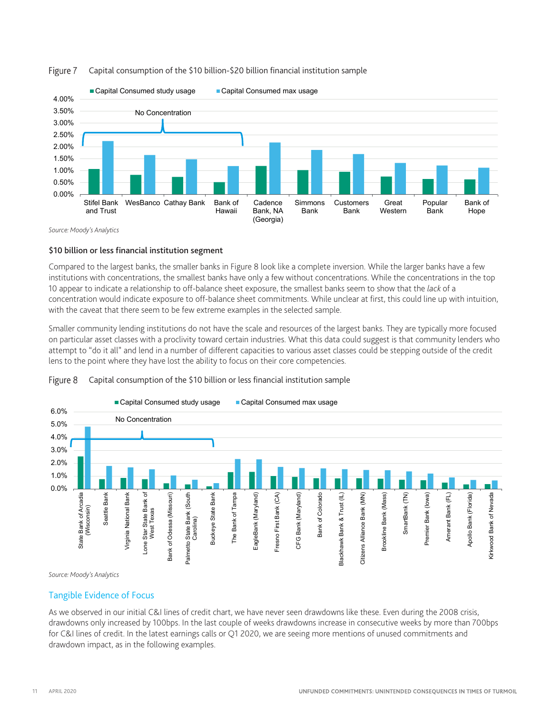

#### Capital consumption of the \$10 billion-\$20 billion financial institution sample Figure 7

*Source: Moody's Analytics*

## <span id="page-10-0"></span>\$10 billion or less financial institution segment

Compared to the largest banks, the smaller banks in Figure 8 look like a complete inversion. While the larger banks have a few institutions with concentrations, the smallest banks have only a few without concentrations. While the concentrations in the top 10 appear to indicate a relationship to off-balance sheet exposure, the smallest banks seem to show that the *lack* of a concentration would indicate exposure to off-balance sheet commitments. While unclear at first, this could line up with intuition, with the caveat that there seem to be few extreme examples in the selected sample.

Smaller community lending institutions do not have the scale and resources of the largest banks. They are typically more focused on particular asset classes with a proclivity toward certain industries. What this data could suggest is that community lenders who attempt to "do it all" and lend in a number of different capacities to various asset classes could be stepping outside of the credit lens to the point where they have lost the ability to focus on their core competencies.





*Source: Moody's Analytics*

# <span id="page-10-1"></span>Tangible Evidence of Focus

As we observed in our initial C&I lines of credit chart, we have never seen drawdowns like these. Even during the 2008 crisis, drawdowns only increased by 100bps. In the last couple of weeks drawdowns increase in consecutive weeks by more than 700bps for C&I lines of credit. In the latest earnings calls or Q1 2020, we are seeing more mentions of unused commitments and drawdown impact, as in the following examples.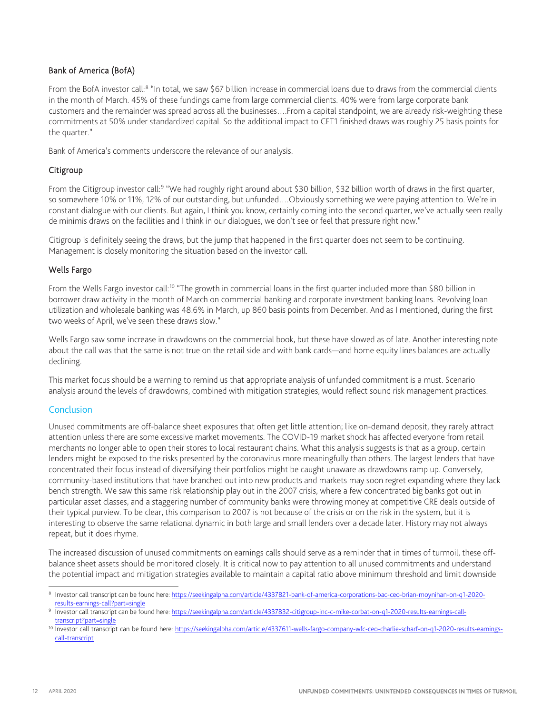# Bank of America (BofA)

From the BofA investor call:<sup>[8](#page-11-1)</sup> "In total, we saw \$67 billion increase in commercial loans due to draws from the commercial clients in the month of March. 45% of these fundings came from large commercial clients. 40% were from large corporate bank customers and the remainder was spread across all the businesses….From a capital standpoint, we are already risk-weighting these commitments at 50% under standardized capital. So the additional impact to CET1 finished draws was roughly 25 basis points for the quarter."

Bank of America's comments underscore the relevance of our analysis.

# Citigroup

From the Citigroup investor call:<sup>[9](#page-11-2)</sup> "We had roughly right around about \$30 billion, \$32 billion worth of draws in the first quarter, so somewhere 10% or 11%, 12% of our outstanding, but unfunded….Obviously something we were paying attention to. We're in constant dialogue with our clients. But again, I think you know, certainly coming into the second quarter, we've actually seen really de minimis draws on the facilities and I think in our dialogues, we don't see or feel that pressure right now."

Citigroup is definitely seeing the draws, but the jump that happened in the first quarter does not seem to be continuing. Management is closely monitoring the situation based on the investor call.

# Wells Fargo

From the Wells Fargo investor call:<sup>[10](#page-11-3)</sup> "The growth in commercial loans in the first quarter included more than \$80 billion in borrower draw activity in the month of March on commercial banking and corporate investment banking loans. Revolving loan utilization and wholesale banking was 48.6% in March, up 860 basis points from December. And as I mentioned, during the first two weeks of April, we've seen these draws slow."

Wells Fargo saw some increase in drawdowns on the commercial book, but these have slowed as of late. Another interesting note about the call was that the same is not true on the retail side and with bank cards—and home equity lines balances are actually declining.

This market focus should be a warning to remind us that appropriate analysis of unfunded commitment is a must. Scenario analysis around the levels of drawdowns, combined with mitigation strategies, would reflect sound risk management practices.

# <span id="page-11-0"></span>Conclusion

Unused commitments are off-balance sheet exposures that often get little attention; like on-demand deposit, they rarely attract attention unless there are some excessive market movements. The COVID-19 market shock has affected everyone from retail merchants no longer able to open their stores to local restaurant chains. What this analysis suggests is that as a group, certain lenders might be exposed to the risks presented by the coronavirus more meaningfully than others. The largest lenders that have concentrated their focus instead of diversifying their portfolios might be caught unaware as drawdowns ramp up. Conversely, community-based institutions that have branched out into new products and markets may soon regret expanding where they lack bench strength. We saw this same risk relationship play out in the 2007 crisis, where a few concentrated big banks got out in particular asset classes, and a staggering number of community banks were throwing money at competitive CRE deals outside of their typical purview. To be clear, this comparison to 2007 is not because of the crisis or on the risk in the system, but it is interesting to observe the same relational dynamic in both large and small lenders over a decade later. History may not always repeat, but it does rhyme.

The increased discussion of unused commitments on earnings calls should serve as a reminder that in times of turmoil, these offbalance sheet assets should be monitored closely. It is critical now to pay attention to all unused commitments and understand the potential impact and mitigation strategies available to maintain a capital ratio above minimum threshold and limit downside

<span id="page-11-1"></span> <sup>8</sup> Investor call transcript can be found here[: https://seekingalpha.com/article/4337821-bank-of-america-corporations-bac-ceo-brian-moynihan-on-q1-2020](https://seekingalpha.com/article/4337821-bank-of-america-corporations-bac-ceo-brian-moynihan-on-q1-2020-results-earnings-call?part=single) [results-earnings-call?part=single](https://seekingalpha.com/article/4337821-bank-of-america-corporations-bac-ceo-brian-moynihan-on-q1-2020-results-earnings-call?part=single)

<span id="page-11-2"></span><sup>9</sup> Investor call transcript can be found here[: https://seekingalpha.com/article/4337832-citigroup-inc-c-mike-corbat-on-q1-2020-results-earnings-call](https://seekingalpha.com/article/4337832-citigroup-inc-c-mike-corbat-on-q1-2020-results-earnings-call-transcript?part=single)[transcript?part=single](https://seekingalpha.com/article/4337832-citigroup-inc-c-mike-corbat-on-q1-2020-results-earnings-call-transcript?part=single)

<span id="page-11-3"></span><sup>&</sup>lt;sup>10</sup> Investor call transcript can be found here: [https://seekingalpha.com/article/4337611-wells-fargo-company-wfc-ceo-charlie-scharf-on-q1-2020-results-earnings](https://seekingalpha.com/article/4337611-wells-fargo-company-wfc-ceo-charlie-scharf-on-q1-2020-results-earnings-call-transcript)[call-transcript](https://seekingalpha.com/article/4337611-wells-fargo-company-wfc-ceo-charlie-scharf-on-q1-2020-results-earnings-call-transcript)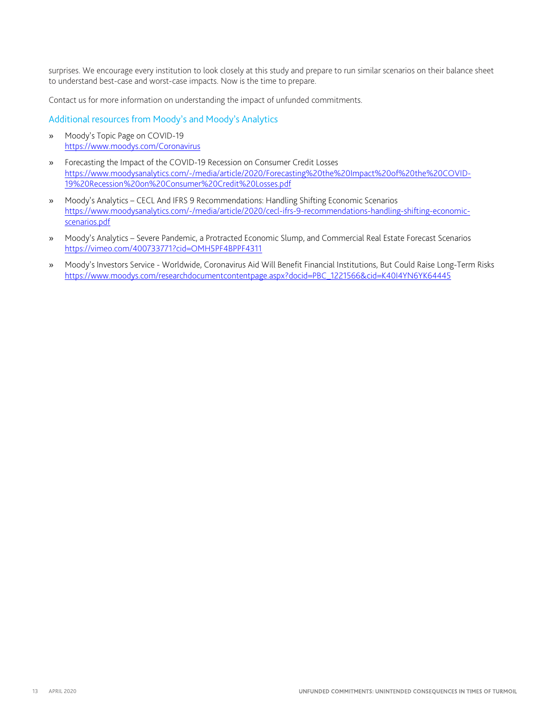surprises. We encourage every institution to look closely at this study and prepare to run similar scenarios on their balance sheet to understand best-case and worst-case impacts. Now is the time to prepare.

Contact us for more information on understanding the impact of unfunded commitments.

<span id="page-12-0"></span>Additional resources from Moody's and Moody's Analytics

- » Moody's Topic Page on COVID-19 <https://www.moodys.com/Coronavirus>
- » Forecasting the Impact of the COVID-19 Recession on Consumer Credit Losses [https://www.moodysanalytics.com/-/media/article/2020/Forecasting%20the%20Impact%20of%20the%20COVID-](https://www.moodysanalytics.com/-/media/article/2020/Forecasting%20the%20Impact%20of%20the%20COVID-19%20Recession%20on%20Consumer%20Credit%20Losses.pdf)[19%20Recession%20on%20Consumer%20Credit%20Losses.pdf](https://www.moodysanalytics.com/-/media/article/2020/Forecasting%20the%20Impact%20of%20the%20COVID-19%20Recession%20on%20Consumer%20Credit%20Losses.pdf)
- » Moody's Analytics CECL And IFRS 9 Recommendations: Handling Shifting Economic Scenarios [https://www.moodysanalytics.com/-/media/article/2020/cecl-ifrs-9-recommendations-handling-shifting-economic](https://www.moodysanalytics.com/-/media/article/2020/cecl-ifrs-9-recommendations-handling-shifting-economic-scenarios.pdf)[scenarios.pdf](https://www.moodysanalytics.com/-/media/article/2020/cecl-ifrs-9-recommendations-handling-shifting-economic-scenarios.pdf)
- » Moody's Analytics Severe Pandemic, a Protracted Economic Slump, and Commercial Real Estate Forecast Scenarios <https://vimeo.com/400733771?cid=OMH5PF4BPPF4311>
- » Moody's Investors Service Worldwide, Coronavirus Aid Will Benefit Financial Institutions, But Could Raise Long-Term Risks [https://www.moodys.com/researchdocumentcontentpage.aspx?docid=PBC\\_1221566&cid=K40I4YN6YK64445](https://www.moodys.com/researchdocumentcontentpage.aspx?docid=PBC_1221566&cid=K40I4YN6YK64445)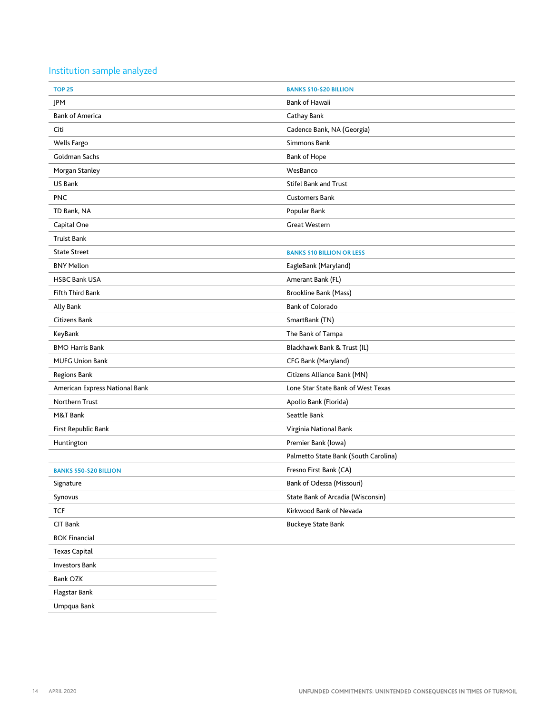# <span id="page-13-0"></span>Institution sample analyzed

| <b>TOP 25</b>                  | <b>BANKS \$10-\$20 BILLION</b>       |
|--------------------------------|--------------------------------------|
| JPM                            | <b>Bank of Hawaii</b>                |
| <b>Bank of America</b>         | Cathay Bank                          |
| Citi                           | Cadence Bank, NA (Georgia)           |
| Wells Fargo                    | Simmons Bank                         |
| Goldman Sachs                  | <b>Bank of Hope</b>                  |
| Morgan Stanley                 | WesBanco                             |
| US Bank                        | <b>Stifel Bank and Trust</b>         |
| <b>PNC</b>                     | <b>Customers Bank</b>                |
| TD Bank, NA                    | Popular Bank                         |
| Capital One                    | <b>Great Western</b>                 |
| <b>Truist Bank</b>             |                                      |
| <b>State Street</b>            | <b>BANKS \$10 BILLION OR LESS</b>    |
| <b>BNY Mellon</b>              | EagleBank (Maryland)                 |
| <b>HSBC Bank USA</b>           | Amerant Bank (FL)                    |
| <b>Fifth Third Bank</b>        | <b>Brookline Bank (Mass)</b>         |
| Ally Bank                      | <b>Bank of Colorado</b>              |
| Citizens Bank                  | SmartBank (TN)                       |
| KeyBank                        | The Bank of Tampa                    |
| <b>BMO Harris Bank</b>         | Blackhawk Bank & Trust (IL)          |
| <b>MUFG Union Bank</b>         | CFG Bank (Maryland)                  |
| <b>Regions Bank</b>            | Citizens Alliance Bank (MN)          |
| American Express National Bank | Lone Star State Bank of West Texas   |
| Northern Trust                 | Apollo Bank (Florida)                |
| M&T Bank                       | Seattle Bank                         |
| First Republic Bank            | Virginia National Bank               |
| Huntington                     | Premier Bank (Iowa)                  |
|                                | Palmetto State Bank (South Carolina) |
| <b>BANKS \$50-\$20 BILLION</b> | Fresno First Bank (CA)               |
| Signature                      | Bank of Odessa (Missouri)            |
| Synovus                        | State Bank of Arcadia (Wisconsin)    |
| <b>TCF</b>                     | Kirkwood Bank of Nevada              |
| CIT Bank                       | <b>Buckeye State Bank</b>            |
| <b>BOK Financial</b>           |                                      |
| <b>Texas Capital</b>           |                                      |
| <b>Investors Bank</b>          |                                      |
| Bank OZK                       |                                      |
| Flagstar Bank                  |                                      |
| Umpqua Bank                    |                                      |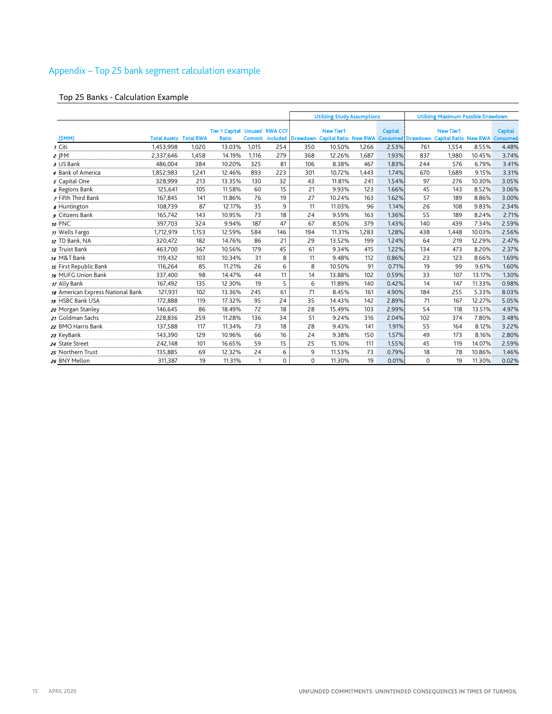# <span id="page-14-0"></span>Appendix – Top 25 bank segment calculation example

# Top 25 Banks - Calculation Example

|                                   |                               |       |                                                      |       |                 | <b>Utilizing Study Assumptions</b> |                                                             |       |                | <b>Utilizing Maximum Possible Drawdown</b> |                                                           |        |                |
|-----------------------------------|-------------------------------|-------|------------------------------------------------------|-------|-----------------|------------------------------------|-------------------------------------------------------------|-------|----------------|--------------------------------------------|-----------------------------------------------------------|--------|----------------|
| (\$MM)                            | <b>Total Assets Total RWA</b> |       | <b>Tier 1 Capital Unused RWA CCF</b><br><b>Ratio</b> |       | Commit included | <b>Drawdown</b>                    | <b>New Tier1</b><br>Capital Ratio New RWA Consumed Drawdown |       | <b>Capital</b> |                                            | <b>New Tier1</b><br><b>Capital Ratio New RWA Consumed</b> |        | <b>Capital</b> |
| 1 Citi                            | 1,453,998                     | 1.020 | 13.03%                                               | 1.015 | 254             | 350                                | 10.50%                                                      | 1.266 | 2.53%          | 761                                        | 1.554                                                     | 8.55%  | 4.48%          |
| $2$ JPM                           | 2,337,646                     | 1,458 | 14.19%                                               | 1,116 | 279             | 368                                | 12.26%                                                      | 1,687 | 1.93%          | 837                                        | 1,980                                                     | 10.45% | 3.74%          |
| 3 US Bank                         | 486.004                       | 384   | 10.20%                                               | 325   | 81              | 106                                | 8.38%                                                       | 467   | 1.83%          | 244                                        | 576                                                       | 6.79%  | 3.41%          |
| 4 Bank of America                 | 1,852,983                     | 1.241 | 12.46%                                               | 893   | 223             | 301                                | 10.72%                                                      | 1.443 | 1.74%          | 670                                        | 1,689                                                     | 9.15%  | 3.31%          |
| 5 Capital One                     | 328,999                       | 213   | 13.35%                                               | 130   | 32              | 43                                 | 11.81%                                                      | 241   | 1.54%          | 97                                         | 276                                                       | 10.30% | 3.05%          |
| 6 Regions Bank                    | 125,641                       | 105   | 11.58%                                               | 60    | 15              | 21                                 | 9.93%                                                       | 123   | 1.66%          | 45                                         | 143                                                       | 8.52%  | 3.06%          |
| 7 Fifth Third Bank                | 167,845                       | 141   | 11.86%                                               | 76    | 19              | 27                                 | 10.24%                                                      | 163   | 1.62%          | 57                                         | 189                                                       | 8.86%  | 3.00%          |
| <b>8</b> Huntington               | 108,739                       | 87    | 12.17%                                               | 35    | 9               | 11                                 | 11.03%                                                      | 96    | 1.14%          | 26                                         | 108                                                       | 9.83%  | 2.34%          |
| Citizens Bank                     | 165,742                       | 143   | 10.95%                                               | 73    | 18              | 24                                 | 9.59%                                                       | 163   | 1.36%          | 55                                         | 189                                                       | 8.24%  | 2.71%          |
| 10 PNC                            | 397,703                       | 324   | 9.94%                                                | 187   | 47              | 67                                 | 8.50%                                                       | 379   | 1.43%          | 140                                        | 439                                                       | 7.34%  | 2.59%          |
| 11 Wells Fargo                    | 1,712,919                     | 1,153 | 12.59%                                               | 584   | 146             | 194                                | 11.31%                                                      | 1,283 | 1.28%          | 438                                        | 1,448                                                     | 10.03% | 2.56%          |
| 12 TD Bank, NA                    | 320,472                       | 182   | 14.76%                                               | 86    | 21              | 29                                 | 13.52%                                                      | 199   | 1.24%          | 64                                         | 219                                                       | 12.29% | 2.47%          |
| 13 Truist Bank                    | 463,700                       | 367   | 10.56%                                               | 179   | 45              | 61                                 | 9.34%                                                       | 415   | 1.22%          | 134                                        | 473                                                       | 8.20%  | 2.37%          |
| 14 M&T Bank                       | 119,432                       | 103   | 10.34%                                               | 31    | 8               | 11                                 | 9.48%                                                       | 112   | 0.86%          | 23                                         | 123                                                       | 8.66%  | 1.69%          |
| 15 First Republic Bank            | 116,264                       | 85    | 11.21%                                               | 26    | 6               | 8                                  | 10.50%                                                      | 91    | 0.71%          | 19                                         | 99                                                        | 9.61%  | 1.60%          |
| 16 MUFG Union Bank                | 337,400                       | 98    | 14.47%                                               | 44    | 11              | 14                                 | 13.88%                                                      | 102   | 0.59%          | 33                                         | 107                                                       | 13.17% | 1.30%          |
| 17 Ally Bank                      | 167,492                       | 135   | 12.30%                                               | 19    | 5               | 6                                  | 11.89%                                                      | 140   | 0.42%          | 14                                         | 147                                                       | 11.33% | 0.98%          |
| 18 American Express National Bank | 121,931                       | 102   | 13.36%                                               | 245   | 61              | 71                                 | 8.45%                                                       | 161   | 4.90%          | 184                                        | 255                                                       | 5.33%  | 8.03%          |
| 19 HSBC Bank USA                  | 172,888                       | 119   | 17.32%                                               | 95    | 24              | 35                                 | 14.43%                                                      | 142   | 2.89%          | 71                                         | 167                                                       | 12.27% | 5.05%          |
| 20 Morgan Stanley                 | 146,645                       | 86    | 18.49%                                               | 72    | 18              | 28                                 | 15.49%                                                      | 103   | 2.99%          | 54                                         | 118                                                       | 13.51% | 4.97%          |
| 21 Goldman Sachs                  | 228,836                       | 259   | 11.28%                                               | 136   | 34              | 51                                 | 9.24%                                                       | 316   | 2.04%          | 102                                        | 374                                                       | 7.80%  | 3.48%          |
| 22 BMO Harris Bank                | 137,588                       | 117   | 11.34%                                               | 73    | 18              | 28                                 | 9.43%                                                       | 141   | 1.91%          | 55                                         | 164                                                       | 8.12%  | 3.22%          |
| 23 KeyBank                        | 143,390                       | 129   | 10.96%                                               | 66    | 16              | 24                                 | 9.38%                                                       | 150   | 1.57%          | 49                                         | 173                                                       | 8.16%  | 2.80%          |
| 24 State Street                   | 242.148                       | 101   | 16.65%                                               | 59    | 15              | 25                                 | 15.10%                                                      | 111   | 1.55%          | 45                                         | 119                                                       | 14.07% | 2.59%          |
| 25 Northern Trust                 | 135,885                       | 69    | 12.32%                                               | 24    | 6               | 9                                  | 11.53%                                                      | 73    | 0.79%          | 18                                         | 78                                                        | 10.86% | 1.46%          |
| 26 BNY Mellon                     | 311,387                       | 19    | 11.31%                                               |       | $\Omega$        | $\Omega$                           | 11.30%                                                      | 19    | 0.01%          | 0                                          | 19                                                        | 11.30% | 0.02%          |